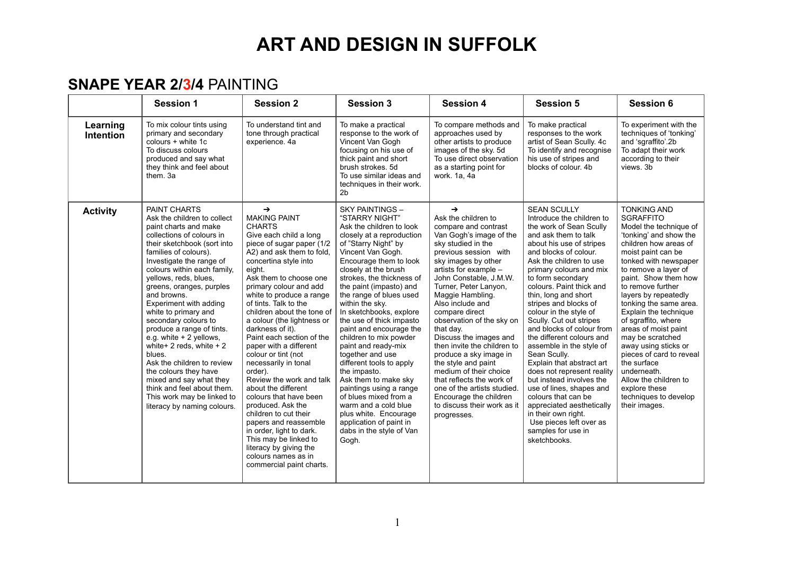### **SNAPE YEAR 2/3/4** PAINTING

|                              | <b>Session 1</b>                                                                                                                                                                                                                                                                                                                                                                                                                                                                                                                                                                                                                                 | <b>Session 2</b>                                                                                                                                                                                                                                                                                                                                                                                                                                                                                                                                                                                                                                                                                                                                                              | <b>Session 3</b>                                                                                                                                                                                                                                                                                                                                                                                                                                                                                                                                                                                                                                                                                       | <b>Session 4</b>                                                                                                                                                                                                                                                                                                                                                                                                                                                                                                                                                                                                      | <b>Session 5</b>                                                                                                                                                                                                                                                                                                                                                                                                                                                                                                                                                                                                                                                                                                                          | <b>Session 6</b>                                                                                                                                                                                                                                                                                                                                                                                                                                                                                                                                            |
|------------------------------|--------------------------------------------------------------------------------------------------------------------------------------------------------------------------------------------------------------------------------------------------------------------------------------------------------------------------------------------------------------------------------------------------------------------------------------------------------------------------------------------------------------------------------------------------------------------------------------------------------------------------------------------------|-------------------------------------------------------------------------------------------------------------------------------------------------------------------------------------------------------------------------------------------------------------------------------------------------------------------------------------------------------------------------------------------------------------------------------------------------------------------------------------------------------------------------------------------------------------------------------------------------------------------------------------------------------------------------------------------------------------------------------------------------------------------------------|--------------------------------------------------------------------------------------------------------------------------------------------------------------------------------------------------------------------------------------------------------------------------------------------------------------------------------------------------------------------------------------------------------------------------------------------------------------------------------------------------------------------------------------------------------------------------------------------------------------------------------------------------------------------------------------------------------|-----------------------------------------------------------------------------------------------------------------------------------------------------------------------------------------------------------------------------------------------------------------------------------------------------------------------------------------------------------------------------------------------------------------------------------------------------------------------------------------------------------------------------------------------------------------------------------------------------------------------|-------------------------------------------------------------------------------------------------------------------------------------------------------------------------------------------------------------------------------------------------------------------------------------------------------------------------------------------------------------------------------------------------------------------------------------------------------------------------------------------------------------------------------------------------------------------------------------------------------------------------------------------------------------------------------------------------------------------------------------------|-------------------------------------------------------------------------------------------------------------------------------------------------------------------------------------------------------------------------------------------------------------------------------------------------------------------------------------------------------------------------------------------------------------------------------------------------------------------------------------------------------------------------------------------------------------|
| Learning<br><b>Intention</b> | To mix colour tints using<br>primary and secondary<br>colours + white 1c<br>To discuss colours<br>produced and say what<br>they think and feel about<br>them. 3a                                                                                                                                                                                                                                                                                                                                                                                                                                                                                 | To understand tint and<br>tone through practical<br>experience. 4a                                                                                                                                                                                                                                                                                                                                                                                                                                                                                                                                                                                                                                                                                                            | To make a practical<br>response to the work of<br>Vincent Van Gogh<br>focusing on his use of<br>thick paint and short<br>brush strokes. 5d<br>To use similar ideas and<br>techniques in their work.<br>2b                                                                                                                                                                                                                                                                                                                                                                                                                                                                                              | To compare methods and<br>approaches used by<br>other artists to produce<br>images of the sky. 5d<br>To use direct observation<br>as a starting point for<br>work. 1a, 4a                                                                                                                                                                                                                                                                                                                                                                                                                                             | To make practical<br>responses to the work<br>artist of Sean Scully. 4c<br>To identify and recognise<br>his use of stripes and<br>blocks of colour. 4b                                                                                                                                                                                                                                                                                                                                                                                                                                                                                                                                                                                    | To experiment with the<br>techniques of 'tonking'<br>and 'sgraffito'.2b<br>To adapt their work<br>according to their<br>views. 3b                                                                                                                                                                                                                                                                                                                                                                                                                           |
| <b>Activity</b>              | PAINT CHARTS<br>Ask the children to collect<br>paint charts and make<br>collections of colours in<br>their sketchbook (sort into<br>families of colours).<br>Investigate the range of<br>colours within each family,<br>yellows, reds, blues,<br>greens, oranges, purples<br>and browns.<br>Experiment with adding<br>white to primary and<br>secondary colours to<br>produce a range of tints.<br>e.g. white + 2 yellows,<br>white + 2 reds, white + $2$<br>blues.<br>Ask the children to review<br>the colours they have<br>mixed and say what they<br>think and feel about them.<br>This work may be linked to<br>literacy by naming colours. | $\rightarrow$<br><b>MAKING PAINT</b><br><b>CHARTS</b><br>Give each child a long<br>piece of sugar paper (1/2)<br>A2) and ask them to fold,<br>concertina style into<br>eight.<br>Ask them to choose one<br>primary colour and add<br>white to produce a range<br>of tints. Talk to the<br>children about the tone of<br>a colour (the lightness or<br>darkness of it).<br>Paint each section of the<br>paper with a different<br>colour or tint (not<br>necessarily in tonal<br>order).<br>Review the work and talk<br>about the different<br>colours that have been<br>produced. Ask the<br>children to cut their<br>papers and reassemble<br>in order, light to dark.<br>This may be linked to<br>literacy by giving the<br>colours names as in<br>commercial paint charts. | <b>SKY PAINTINGS -</b><br>"STARRY NIGHT"<br>Ask the children to look<br>closely at a reproduction<br>of "Starry Night" by<br>Vincent Van Gogh.<br>Encourage them to look<br>closely at the brush<br>strokes, the thickness of<br>the paint (impasto) and<br>the range of blues used<br>within the sky.<br>In sketchbooks, explore<br>the use of thick impasto<br>paint and encourage the<br>children to mix powder<br>paint and ready-mix<br>together and use<br>different tools to apply<br>the impasto.<br>Ask them to make sky<br>paintings using a range<br>of blues mixed from a<br>warm and a cold blue<br>plus white. Encourage<br>application of paint in<br>dabs in the style of Van<br>Gogh. | $\rightarrow$<br>Ask the children to<br>compare and contrast<br>Van Gogh's image of the<br>sky studied in the<br>previous session with<br>sky images by other<br>artists for example -<br>John Constable, J.M.W.<br>Turner, Peter Lanyon,<br>Maggie Hambling.<br>Also include and<br>compare direct<br>observation of the sky on<br>that day.<br>Discuss the images and<br>then invite the children to<br>produce a sky image in<br>the style and paint<br>medium of their choice<br>that reflects the work of<br>one of the artists studied.<br>Encourage the children<br>to discuss their work as it<br>progresses. | <b>SEAN SCULLY</b><br>Introduce the children to<br>the work of Sean Scully<br>and ask them to talk<br>about his use of stripes<br>and blocks of colour.<br>Ask the children to use<br>primary colours and mix<br>to form secondary<br>colours. Paint thick and<br>thin, long and short<br>stripes and blocks of<br>colour in the style of<br>Scully. Cut out stripes<br>and blocks of colour from<br>the different colours and<br>assemble in the style of<br>Sean Scully.<br>Explain that abstract art<br>does not represent reality<br>but instead involves the<br>use of lines, shapes and<br>colours that can be<br>appreciated aesthetically<br>in their own right.<br>Use pieces left over as<br>samples for use in<br>sketchbooks. | <b>TONKING AND</b><br><b>SGRAFFITO</b><br>Model the technique of<br>'tonking' and show the<br>children how areas of<br>moist paint can be<br>tonked with newspaper<br>to remove a layer of<br>paint. Show them how<br>to remove further<br>layers by repeatedly<br>tonking the same area.<br>Explain the technique<br>of sgraffito, where<br>areas of moist paint<br>may be scratched<br>away using sticks or<br>pieces of card to reveal<br>the surface<br>underneath.<br>Allow the children to<br>explore these<br>techniques to develop<br>their images. |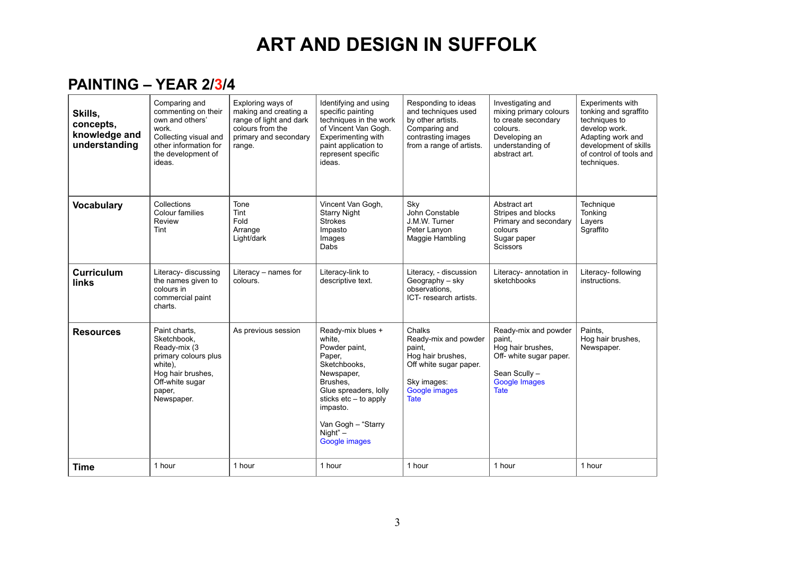### **PAINTING – YEAR 2/3/4**

| Skills,<br>concepts,<br>knowledge and<br>understanding | Comparing and<br>commenting on their<br>own and others'<br>work.<br>Collecting visual and<br>other information for<br>the development of<br>ideas. | Exploring ways of<br>making and creating a<br>range of light and dark<br>colours from the<br>primary and secondary<br>range. | Identifying and using<br>specific painting<br>techniques in the work<br>of Vincent Van Gogh.<br>Experimenting with<br>paint application to<br>represent specific<br>ideas.                                        | Responding to ideas<br>and techniques used<br>by other artists.<br>Comparing and<br>contrasting images<br>from a range of artists.     | Investigating and<br>mixing primary colours<br>to create secondary<br>colours.<br>Developing an<br>understanding of<br>abstract art.   | Experiments with<br>tonking and sgraffito<br>techniques to<br>develop work.<br>Adapting work and<br>development of skills<br>of control of tools and<br>techniques. |
|--------------------------------------------------------|----------------------------------------------------------------------------------------------------------------------------------------------------|------------------------------------------------------------------------------------------------------------------------------|-------------------------------------------------------------------------------------------------------------------------------------------------------------------------------------------------------------------|----------------------------------------------------------------------------------------------------------------------------------------|----------------------------------------------------------------------------------------------------------------------------------------|---------------------------------------------------------------------------------------------------------------------------------------------------------------------|
| <b>Vocabulary</b>                                      | Collections<br><b>Colour families</b><br>Review<br>Tint                                                                                            | Tone<br>Tint<br>Fold<br>Arrange<br>Light/dark                                                                                | Vincent Van Gogh,<br><b>Starry Night</b><br><b>Strokes</b><br>Impasto<br>Images<br>Dabs                                                                                                                           | Sky<br>John Constable<br>J.M.W. Turner<br>Peter Lanyon<br>Maggie Hambling                                                              | Abstract art<br>Stripes and blocks<br>Primary and secondary<br>colours<br>Sugar paper<br><b>Scissors</b>                               | Technique<br>Tonking<br>Layers<br>Sgraffito                                                                                                                         |
| <b>Curriculum</b><br><b>links</b>                      | Literacy- discussing<br>the names given to<br>colours in<br>commercial paint<br>charts.                                                            | Literacy - names for<br>colours.                                                                                             | Literacy-link to<br>descriptive text.                                                                                                                                                                             | Literacy, - discussion<br>Geography - sky<br>observations,<br>ICT-research artists.                                                    | Literacy- annotation in<br>sketchbooks                                                                                                 | Literacy- following<br>instructions.                                                                                                                                |
| <b>Resources</b>                                       | Paint charts,<br>Sketchbook,<br>Ready-mix (3<br>primary colours plus<br>white).<br>Hog hair brushes,<br>Off-white sugar<br>paper,<br>Newspaper.    | As previous session                                                                                                          | Ready-mix blues +<br>white.<br>Powder paint.<br>Paper,<br>Sketchbooks,<br>Newspaper,<br>Brushes.<br>Glue spreaders, lolly<br>sticks etc - to apply<br>impasto.<br>Van Gogh - "Starry<br>Night" -<br>Google images | Chalks<br>Ready-mix and powder<br>paint,<br>Hog hair brushes,<br>Off white sugar paper.<br>Sky images:<br>Google images<br><b>Tate</b> | Ready-mix and powder<br>paint,<br>Hog hair brushes,<br>Off- white sugar paper.<br>Sean Scully -<br><b>Google Images</b><br><b>Tate</b> | Paints.<br>Hog hair brushes,<br>Newspaper.                                                                                                                          |
| <b>Time</b>                                            | 1 hour                                                                                                                                             | 1 hour                                                                                                                       | 1 hour                                                                                                                                                                                                            | 1 hour                                                                                                                                 | 1 hour                                                                                                                                 | 1 hour                                                                                                                                                              |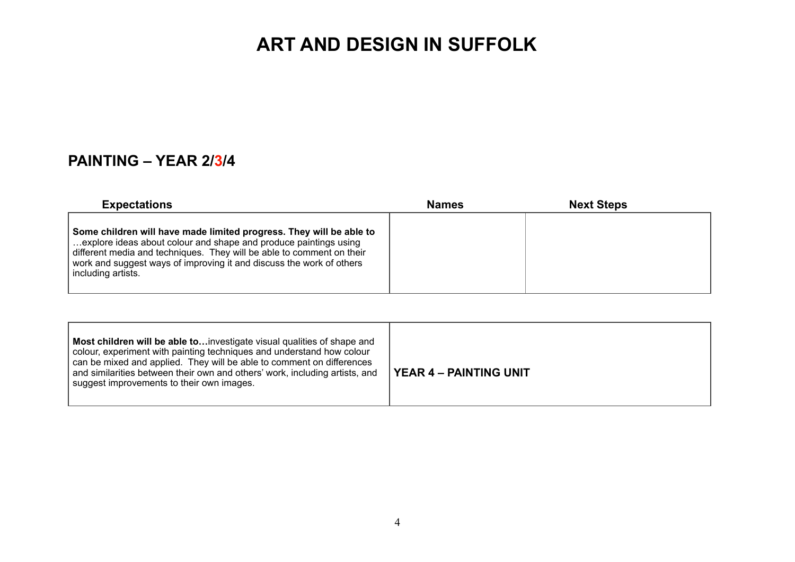#### **PAINTING – YEAR 2/3/4**

| <b>Expectations</b>                                                                                                                                                                                                                                                                                            | <b>Names</b> | <b>Next Steps</b> |  |
|----------------------------------------------------------------------------------------------------------------------------------------------------------------------------------------------------------------------------------------------------------------------------------------------------------------|--------------|-------------------|--|
| Some children will have made limited progress. They will be able to<br>explore ideas about colour and shape and produce paintings using<br>different media and techniques. They will be able to comment on their<br>work and suggest ways of improving it and discuss the work of others<br>including artists. |              |                   |  |